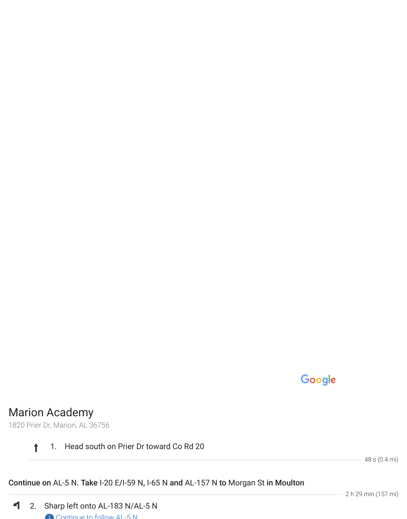

## Marion Academy

1820 Prier Dr, Marion, AL 36756

## $\ddagger$ 1. Head south on Prier Dr toward Co Rd 20

48 s (0.4 mi)

## Continue on AL-5 N. Take I-20 E/I-59 N, I-65 N and AL-157 N to Morgan St in Moulton

2 h 29 min (157 mi)

 $\blacktriangleleft$ 2. Sharp left onto AL-183 N/AL-5 N Continue to follow AL-5 N